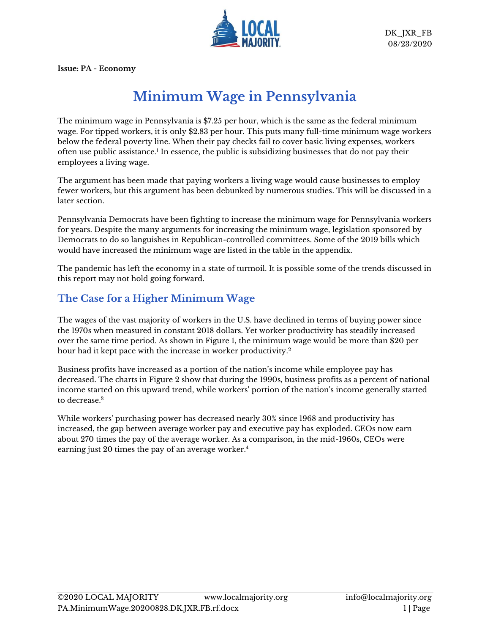

**Issue: PA - Economy**

# **Minimum Wage in Pennsylvania**

The minimum wage in Pennsylvania is \$7.25 per hour, which is the same as the federal minimum wage. For tipped workers, it is only \$2.83 per hour. This puts many full-time minimum wage workers below the federal poverty line. When their pay checks fail to cover basic living expenses, workers often use public assistance.<sup>1</sup> In essence, the public is subsidizing businesses that do not pay their employees a living wage.

The argument has been made that paying workers a living wage would cause businesses to employ fewer workers, but this argument has been debunked by numerous studies. This will be discussed in a later section.

Pennsylvania Democrats have been fighting to increase the minimum wage for Pennsylvania workers for years. Despite the many arguments for increasing the minimum wage, legislation sponsored by Democrats to do so languishes in Republican-controlled committees. Some of the 2019 bills which would have increased the minimum wage are listed in the table in the appendix.

The pandemic has left the economy in a state of turmoil. It is possible some of the trends discussed in this report may not hold going forward.

#### **The Case for a Higher Minimum Wage**

The wages of the vast majority of workers in the U.S. have declined in terms of buying power since the 1970s when measured in constant 2018 dollars. Yet worker productivity has steadily increased over the same time period. As shown in Figure 1, the minimum wage would be more than \$20 per hour had it kept pace with the increase in worker productivity. 2

Business profits have increased as a portion of the nation's income while employee pay has decreased. The charts in Figure 2 show that during the 1990s, business profits as a percent of national income started on this upward trend, while workers' portion of the nation's income generally started to decrease.<sup>3</sup>

While workers' purchasing power has decreased nearly 30% since 1968 and productivity has increased, the gap between average worker pay and executive pay has exploded. CEOs now earn about 270 times the pay of the average worker. As a comparison, in the mid-1960s, CEOs were earning just 20 times the pay of an average worker. 4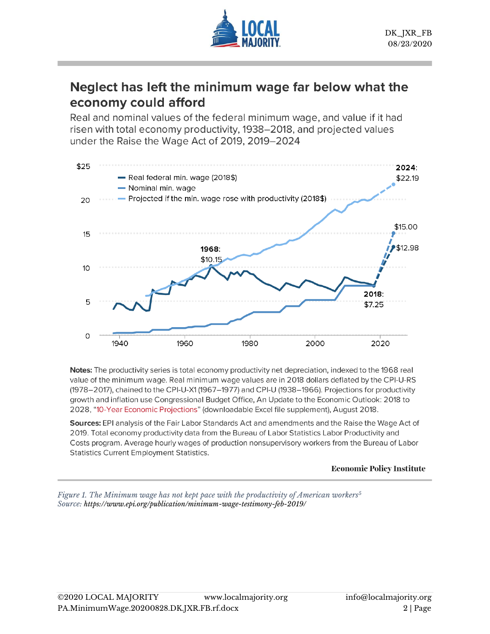

# Neglect has left the minimum wage far below what the economy could afford

Real and nominal values of the federal minimum wage, and value if it had risen with total economy productivity, 1938–2018, and projected values under the Raise the Wage Act of 2019, 2019-2024



Notes: The productivity series is total economy productivity net depreciation, indexed to the 1968 real value of the minimum wage. Real minimum wage values are in 2018 dollars deflated by the CPI-U-RS (1978–2017), chained to the CPI-U-X1 (1967–1977) and CPI-U (1938–1966). Projections for productivity growth and inflation use Congressional Budget Office, An Update to the Economic Outlook: 2018 to 2028, "10-Year Economic Projections" (downloadable Excel file supplement), August 2018.

Sources: EPI analysis of the Fair Labor Standards Act and amendments and the Raise the Wage Act of 2019. Total economy productivity data from the Bureau of Labor Statistics Labor Productivity and Costs program. Average hourly wages of production nonsupervisory workers from the Bureau of Labor **Statistics Current Employment Statistics.** 

#### **Economic Policy Institute**

*Figure 1. The Minimum wage has not kept pace with the productivity of American workers<sup>5</sup> Source: <https://www.epi.org/publication/minimum-wage-testimony-feb-2019/>*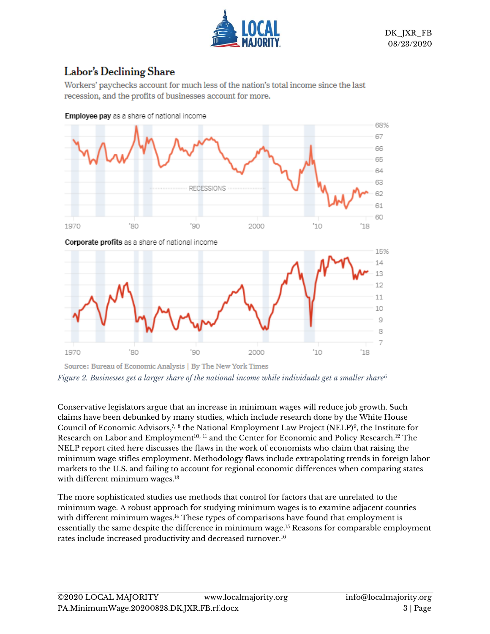

# Labor's Declining Share

Workers' paychecks account for much less of the nation's total income since the last recession, and the profits of businesses account for more.



Employee pay as a share of national income

Source: Bureau of Economic Analysis | By The New York Times *Figure 2. Businesses get a larger share of the national income while individuals get a smaller share<sup>6</sup>*

Conservative legislators argue that an increase in minimum wages will reduce job growth. Such claims have been debunked by many studies, which include research done by the White House Council of Economic Advisors,<sup>7, 8</sup> the National Employment Law Project (NELP)<sup>9</sup>, the Institute for Research on Labor and Employment<sup>10, 11</sup> and the Center for Economic and Policy Research.<sup>12</sup> The NELP report cited here discusses the flaws in the work of economists who claim that raising the minimum wage stifles employment. Methodology flaws include extrapolating trends in foreign labor markets to the U.S. and failing to account for regional economic differences when comparing states with different minimum wages.<sup>13</sup>

The more sophisticated studies use methods that control for factors that are unrelated to the minimum wage. A robust approach for studying minimum wages is to examine adjacent counties with different minimum wages.<sup>14</sup> These types of comparisons have found that employment is essentially the same despite the difference in minimum wage. <sup>15</sup> Reasons for comparable employment rates include increased productivity and decreased turnover.<sup>16</sup>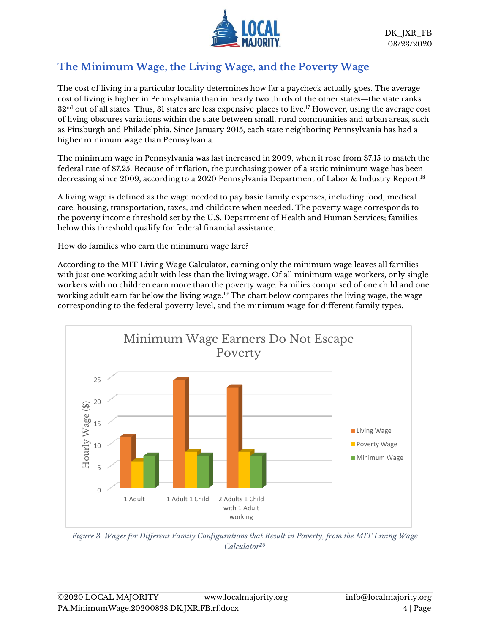

## **The Minimum Wage, the Living Wage, and the Poverty Wage**

The cost of living in a particular locality determines how far a paycheck actually goes. The average cost of living is higher in Pennsylvania than in nearly two thirds of the other states—the state ranks  $32<sup>nd</sup>$  out of all states. Thus, 31 states are less expensive places to live.<sup>17</sup> However, using the average cost of living obscures variations within the state between small, rural communities and urban areas, such as Pittsburgh and Philadelphia. Since January 2015, each state neighboring Pennsylvania has had a higher minimum wage than Pennsylvania.

The minimum wage in Pennsylvania was last increased in 2009, when it rose from \$7.15 to match the federal rate of \$7.25. Because of inflation, the purchasing power of a static minimum wage has been decreasing since 2009, according to a 2020 Pennsylvania Department of Labor & Industry Report. 18

A living wage is defined as the wage needed to pay basic family expenses, including food, medical care, housing, transportation, taxes, and childcare when needed. The poverty wage corresponds to the poverty income threshold set by the U.S. Department of Health and Human Services; families below this threshold qualify for federal financial assistance.

How do families who earn the minimum wage fare?

According to the MIT Living Wage Calculator, earning only the minimum wage leaves all families with just one working adult with less than the living wage. Of all minimum wage workers, only single workers with no children earn more than the poverty wage. Families comprised of one child and one working adult earn far below the living wage. <sup>19</sup> The chart below compares the living wage, the wage corresponding to the federal poverty level, and the minimum wage for different family types.



*Figure 3. Wages for Different Family Configurations that Result in Poverty, from the MIT Living Wage Calculator<sup>20</sup>*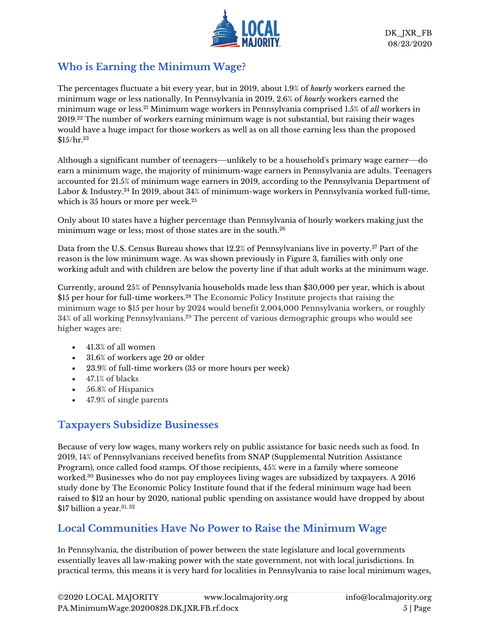

#### **Who is Earning the Minimum Wage?**

The percentages fluctuate a bit every year, but in 2019, about 1.9% of *hourly* workers earned the minimum wage or less nationally. In Pennsylvania in 2019, 2.6% of *hourly* workers earned the minimum wage or less.<sup>21</sup> Minimum wage workers in Pennsylvania comprised 1.5% of *all* workers in 2019.<sup>22</sup> The number of workers earning minimum wage is not substantial, but raising their wages would have a huge impact for those workers as well as on all those earning less than the proposed  $\$15/\rm hr.^{23}$ 

Although a significant number of teenagers—unlikely to be a household's primary wage earner—do earn a minimum wage, the majority of minimum-wage earners in Pennsylvania are adults. Teenagers accounted for 21.5% of minimum wage earners in 2019, according to the Pennsylvania Department of Labor & Industry.<sup>24</sup> In 2019, about 34% of minimum-wage workers in Pennsylvania worked full-time, which is 35 hours or more per week.<sup>25</sup>

Only about 10 states have a higher percentage than Pennsylvania of hourly workers making just the minimum wage or less; most of those states are in the south.<sup>26</sup>

Data from the U.S. Census Bureau shows that 12.2% of Pennsylvanians live in poverty.<sup>27</sup> Part of the reason is the low minimum wage. As was shown previously in Figure 3, families with only one working adult and with children are below the poverty line if that adult works at the minimum wage.

Currently, around 25% of Pennsylvania households made less than \$30,000 per year, which is about \$15 per hour for full-time workers.<sup>28</sup> The Economic Policy Institute projects that raising the minimum wage to \$15 per hour by 2024 would benefit 2,004,000 Pennsylvania workers, or roughly 34% of all working Pennsylvanians.<sup>29</sup> The percent of various demographic groups who would see higher wages are:

- 41.3% of all women
- 31.6% of workers age 20 or older
- 23.9% of full-time workers (35 or more hours per week)
- 47.1% of blacks
- 56.8% of Hispanics
- 47.9% of single parents

#### **Taxpayers Subsidize Businesses**

Because of very low wages, many workers rely on public assistance for basic needs such as food. In 2019, 14% of Pennsylvanians received benefits from SNAP (Supplemental Nutrition Assistance Program), once called food stamps. Of those recipients, 45% were in a family where someone worked.<sup>30</sup> Businesses who do not pay employees living wages are subsidized by taxpayers. A 2016 study done by The Economic Policy Institute found that if the federal minimum wage had been raised to \$12 an hour by 2020, national public spending on assistance would have dropped by about  $$17$  billion a year.<sup>31, 32</sup>

# **Local Communities Have No Power to Raise the Minimum Wage**

In Pennsylvania, the distribution of power between the state legislature and local governments essentially leaves all law-making power with the state government, not with local jurisdictions. In practical terms, this means it is very hard for localities in Pennsylvania to raise local minimum wages,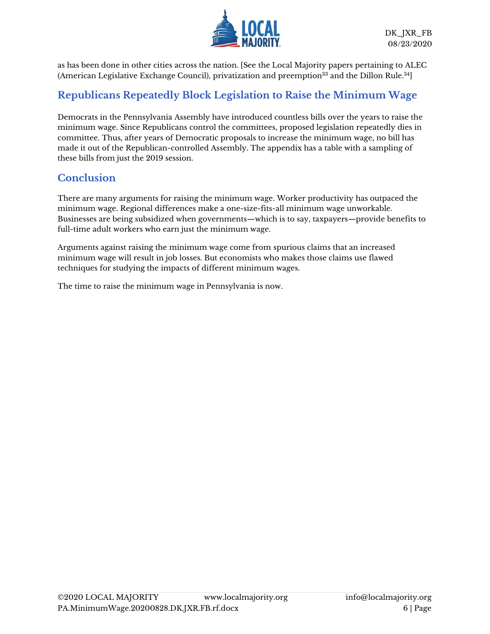

as has been done in other cities across the nation. [See the Local Majority papers pertaining to ALEC (American Legislative Exchange Council), privatization and preemption $^\mathrm{33}$  and th[e Dillon Rule.](mailto:https://www.localmajority.org/wp-content/uploads/2019/05/VA.DillonRule.20190515.DR_.pdf) $^\mathrm{34}$ ]

#### **Republicans Repeatedly Block Legislation to Raise the Minimum Wage**

Democrats in the Pennsylvania Assembly have introduced countless bills over the years to raise the minimum wage. Since Republicans control the committees, proposed legislation repeatedly dies in committee. Thus, after years of Democratic proposals to increase the minimum wage, no bill has made it out of the Republican-controlled Assembly. The appendix has a table with a sampling of these bills from just the 2019 session.

#### **Conclusion**

There are many arguments for raising the minimum wage. Worker productivity has outpaced the minimum wage. Regional differences make a one-size-fits-all minimum wage unworkable. Businesses are being subsidized when governments—which is to say, taxpayers—provide benefits to full-time adult workers who earn just the minimum wage.

Arguments against raising the minimum wage come from spurious claims that an increased minimum wage will result in job losses. But economists who makes those claims use flawed techniques for studying the impacts of different minimum wages.

The time to raise the minimum wage in Pennsylvania is now.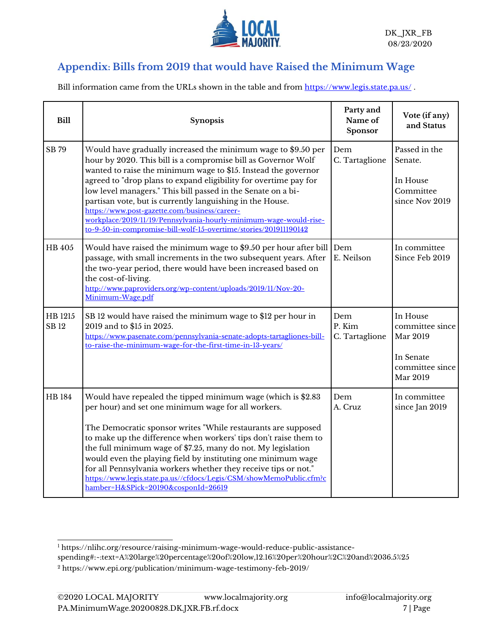

### **Appendix: Bills from 2019 that would have Raised the Minimum Wage**

Bill information came from the URLs shown in the table and from <https://www.legis.state.pa.us/>.

| <b>Bill</b>            | <b>Synopsis</b>                                                                                                                                                                                                                                                                                                                                                                                                                                                                                                                                                                             | Party and<br>Name of<br>Sponsor | Vote (if any)<br>and Status                                                         |
|------------------------|---------------------------------------------------------------------------------------------------------------------------------------------------------------------------------------------------------------------------------------------------------------------------------------------------------------------------------------------------------------------------------------------------------------------------------------------------------------------------------------------------------------------------------------------------------------------------------------------|---------------------------------|-------------------------------------------------------------------------------------|
| SB 79                  | Would have gradually increased the minimum wage to \$9.50 per<br>hour by 2020. This bill is a compromise bill as Governor Wolf<br>wanted to raise the minimum wage to \$15. Instead the governor<br>agreed to "drop plans to expand eligibility for overtime pay for<br>low level managers." This bill passed in the Senate on a bi-<br>partisan vote, but is currently languishing in the House.<br>https://www.post-gazette.com/business/career-<br>workplace/2019/11/19/Pennsylvania-hourly-minimum-wage-would-rise-<br>to-9-50-in-compromise-bill-wolf-15-overtime/stories/201911190142 | Dem<br>C. Tartaglione           | Passed in the<br>Senate.<br>In House<br>Committee<br>since Nov 2019                 |
| HB 405                 | Would have raised the minimum wage to \$9.50 per hour after bill Dem<br>passage, with small increments in the two subsequent years. After<br>the two-year period, there would have been increased based on<br>the cost-of-living.<br>http://www.paproviders.org/wp-content/uploads/2019/11/Nov-20-<br>Minimum-Wage.pdf                                                                                                                                                                                                                                                                      | E. Neilson                      | In committee<br>Since Feb 2019                                                      |
| HB 1215<br><b>SB12</b> | SB 12 would have raised the minimum wage to \$12 per hour in<br>2019 and to \$15 in 2025.<br>https://www.pasenate.com/pennsylvania-senate-adopts-tartagliones-bill-<br>to-raise-the-minimum-wage-for-the-first-time-in-13-years/                                                                                                                                                                                                                                                                                                                                                            | Dem<br>P. Kim<br>C. Tartaglione | In House<br>committee since<br>Mar 2019<br>In Senate<br>committee since<br>Mar 2019 |
| <b>HB</b> 184          | Would have repealed the tipped minimum wage (which is \$2.83<br>per hour) and set one minimum wage for all workers.<br>The Democratic sponsor writes "While restaurants are supposed<br>to make up the difference when workers' tips don't raise them to<br>the full minimum wage of \$7.25, many do not. My legislation<br>would even the playing field by instituting one minimum wage<br>for all Pennsylvania workers whether they receive tips or not."<br>https://www.legis.state.pa.us//cfdocs/Legis/CSM/showMemoPublic.cfm?c<br>hamber=H&SPick=20190&cosponId=26619                  | Dem<br>A. Cruz                  | In committee<br>since Jan 2019                                                      |

<sup>1</sup> [https://nlihc.org/resource/raising-minimum-wage-would-reduce-public-assistance](https://nlihc.org/resource/raising-minimum-wage-would-reduce-public-assistance-spending#:~:text=A%20large%20percentage%20of%20low,12.16%20per%20hour%2C%20and%2036.5%25)[spending#:~:text=A%20large%20percentage%20of%20low,12.16%20per%20hour%2C%20and%2036.5%25](https://nlihc.org/resource/raising-minimum-wage-would-reduce-public-assistance-spending#:~:text=A%20large%20percentage%20of%20low,12.16%20per%20hour%2C%20and%2036.5%25)

<sup>2</sup> <https://www.epi.org/publication/minimum-wage-testimony-feb-2019/>